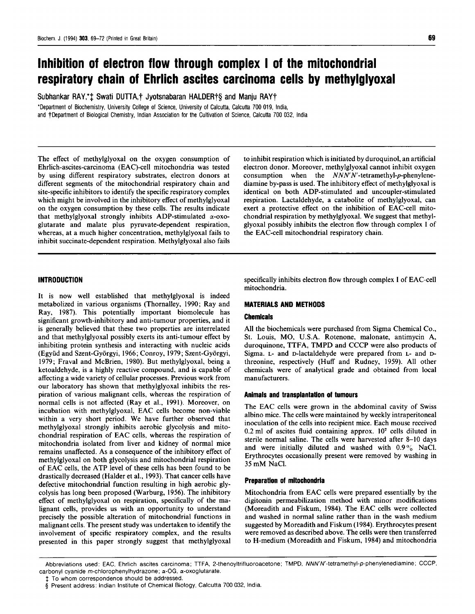# Inhibition of electron flow through complex <sup>I</sup> of the mitochondrial respiratory chain of Ehrlich ascites carcinoma cells by methylglyoxal

Subhankar RAY,\*<sup>+</sup> Swati DUTTA,<sup>+</sup> Jyotsnabaran HALDER<sup>+</sup>§ and Manju RAY<sup>+</sup>

\*Department of Biochemistry, University College of Science, University of Calcutta, Calcutta 700 019, India, and †Department of Biological Chemistry, Indian Association for the Cultivation of Science, Calcutta 700 032, India

The effect of methylglyoxal on the oxygen consumption of Ehrlich-ascites-carcinoma (EAC)-cell mitochondria was tested by using different respiratory substrates, electron donors at different segments of the mitochondrial respiratory chain and site-specific inhibitors to identify the specific respiratory complex which might be involved in the inhibitory effect of methylglyoxal on the oxygen consumption by these cells. The results indicate that methylglyoxal strongly inhibits ADP-stimulated  $\alpha$ -oxoglutarate and malate plus pyruvate-dependent respiration, whereas, at a much higher concentration, methylglyoxal fails to inhibit succinate-dependent respiration. Methylglyoxal also fails

# INTRODUCTION

It is now well established that methylglyoxal is indeed metabolized in various organisms (Thornalley, 1990; Ray and Ray, 1987). This potentially important biomolecule has significant growth-inhibitory and anti-tumour properties, and it is generally believed that these two properties are interrelated and that methylglyoxal possibly exerts its anti-tumour effect by inhibiting protein synthesis and interacting with nucleic acids (Együd and Szent-Györgyi, 1966; Conroy, 1979; Szent-Györgyi, 1979; Fraval and McBrien, 1980). But methylglyoxal, being a ketoaldehyde, is a highly reactive compound, and is capable of affecting a wide variety of cellular processes. Previous work from our laboratory has shown that methylglyoxal inhibits the respiration of various malignant cells, whereas the respiration of normal cells is not affected (Ray et al., 1991). Moreover, on incubation with methylglyoxal, EAC cells become non-viable within <sup>a</sup> very short period. We have further observed that methylglyoxal strongly inhibits aerobic glycolysis and mitochondrial respiration of EAC cells, whereas the respiration of mitochondria isolated from liver and kidney of normal mice remains unaffected. As a consequence of the inhibitory effect of methylglyoxal on both glycolysis and mitochondrial respiration of EAC cells, the ATP level of these cells has been found to be drastically decreased (Halder et al., 1993). That cancer cells have defective mitochondrial function resulting in high aerobic glycolysis has long been proposed (Warburg, 1956). The inhibitory effect of methylglyoxal on respiration, specifically of the malignant cells, provides us with an opportunity to understand precisely the possible alteration of mitochondrial functions in malignant cells. The present study was undertaken to identify the involvement of specific respiratory complex, and the results presented in this paper strongly suggest that methylglyoxal

to inhibit respiration which is initiated by duroquinol, an artificial electron donor. Moreover, methylglyoxal cannot inhibit oxygen consumption when the  $NNN$ -tetramethyl-p-phenylenediamine by-pass is used. The inhibitory effect of methylglyoxal is identical on both ADP-stimulated and uncoupler-stimulated respiration. Lactaldehyde, a catabolite of methylglyoxal, can exert a protective effect on the inhibition of EAC-cell mitochondrial respiration by methylglyoxal. We suggest that methylglyoxal possibly inhibits the electron flow through complex <sup>I</sup> of the EAC-cell mitochondrial respiratory chain.

specifically inhibits electron flow through complex <sup>I</sup> of EAC-cell mitochondria.

# MATERIALS AND METHODS

## Chemicals

All the biochemicals were purchased from Sigma Chemical Co., St. Louis, MO, U.S.A. Rotenone, malonate, antimycin A, duroquinone, TTFA, TMPD and CCCP were also products of Sigma. L- and D-lactaldehyde were prepared from L- and Dthreonine, respectively (Huff and Rudney, 1959). All other chemicals were of analytical grade and obtained from local manufacturers.

### Animals and transplantation of tumours

The EAC cells were grown in the abdominal cavity of Swiss albino mice. The cells were maintained by weekly intraperitoneal inoculation of the cells into recipient mice. Each mouse received 0.2 ml of ascites fluid containing approx. 107 cells diluted in sterile normal saline. The cells were harvested after 8-10 days and were initially diluted and washed with  $0.9\%$  NaCl. Erythrocytes occasionally present were removed by washing in <sup>35</sup> mM NaCl.

#### Preparation of mitochondria

Mitochondria from EAC cells were prepared essentially by the digitonin permeabilization method with minor modifications (Moreadith and Fiskum, 1984). The EAC cells were collected and washed in normal saline rather than in the wash medium suggested by Moreadith and Fiskum (1984). Erythrocytes present were removed as described above. The cells were then transferred to H-medium (Moreadith and Fiskum, 1984) and mitochondria

Abbreviations used: EAC, Ehrlich ascites carcinoma; TTFA, 2-thenoyltrifluoroacetone; TMPD, NNN'N'-tetramethyl-p-phenylenediamine; CCCP, carbonyl cyanide m-chlorophenylhydrazone; a-OG, a-oxoglutarate.

To whom correspondence should be addressed.

<sup>§</sup> Present address: Indian Institute of Chemical Biology, Calcutta 700 032, India.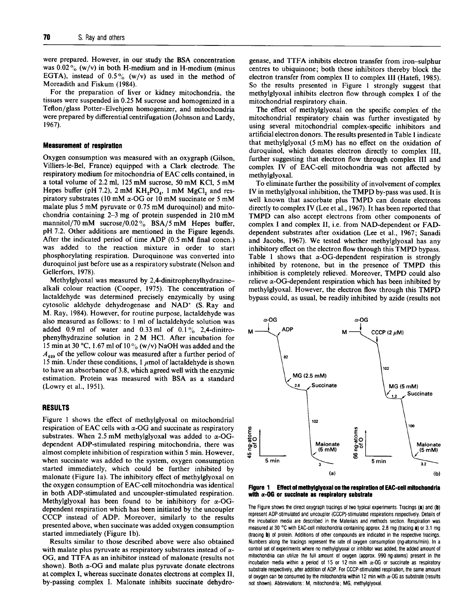were prepared. However, in our study the BSA concentration was  $0.02\%$  (w/v) in both H-medium and in H-medium (minus EGTA), instead of  $0.5\%$  (w/v) as used in the method of Moreadith and Fiskum (1984).

For the preparation of liver or kidney mitochondria, the tissues were suspended in 0.25 M sucrose and homogenized in <sup>a</sup> Teflon/glass Potter-Elvehjem homogenizer, and mitochondria were prepared by differential centrifugation (Johnson and Lardy, 1967).

### Measurement of respiration

Oxygen consumption was measured with an oxygraph (Gilson, Villiers-le-Bel, France) equipped with a Clark electrode. The respiratory medium for mitochondria of EAC cells contained, in <sup>a</sup> total volume of 2.2 ml, <sup>125</sup> mM sucrose, <sup>50</sup> mM KCl, <sup>5</sup> mM Hepes buffer (pH 7.2),  $2 \text{ mM } KH_2PO_4$ ,  $1 \text{ mM } MgCl_2$  and respiratory substrates (10 mM  $\alpha$ -OG or 10 mM succinate or 5 mM malate plus <sup>5</sup> mM pyruvate or 0.75 mM duroquinol) and mitochondria containing 2-3 mg of protein suspended in <sup>210</sup> mM mannitol/70 mM sucrose/0.02 $\%$  BSA/5 mM Hepes buffer, pH 7.2. Other additions are mentioned in the Figure legends. After the indicated period of time ADP (0.5 mM final concn.) was added to the reaction mixture in order to start phosphorylating respiration. Duroquinone was converted into duroquinol just before use as a respiratory substrate (Nelson and Gellerfors, 1978).

Methylglyoxal was measured by 2,4-dinitrophenylhydrazinealkali colour reaction (Cooper, 1975). The concentration of lactaldehyde was determined precisely enzymically by using cytosolic aldehyde dehydrogenase and NAD+ (S. Ray and M. Ray, 1984). However, for routine purpose, lactaldehyde was also measured as follows: to <sup>1</sup> ml of lactaldehyde solution was added 0.9 ml of water and 0.33 ml of  $0.1\%$  2,4-dinitrophenylhydrazine solution in <sup>2</sup> M HCl. After incubation for 15 min at 30 °C, 1.67 ml of 10% (w/v) NaOH was added and the  $A_{420}$  of the yellow colour was measured after a further period of 15 min. Under these conditions, 1  $\mu$ mol of lactaldehyde is shown to have an absorbance of 3.8, which agreed well with the enzymic estimation. Protein was measured with BSA as a standard (Lowry et al., 1951).

## RESULTS

Figure <sup>1</sup> shows the effect of methylglyoxal on mitochondrial respiration of EAC cells with  $\alpha$ -OG and succinate as respiratory substrates. When 2.5 mM methylglyoxal was added to  $\alpha$ -OGdependent ADP-stimulated respiring mitochondria, there was almost complete inhibition of respiration within 5 min. However, when succinate was added to the system, oxygen consumption started immediately, which could be further inhibited by malonate (Figure la). The inhibitory effect of methylglyoxal on the oxygen consumption of EAC-cell mitochondria was identical in both ADP-stimulated and uncoupler-stimulated respiration. Methylglyoxal has been found to be inhibitory for  $\alpha$ -OGdependent respiration which has been initiated by the uncoupler acpendent respiration which has been initiated by the uncoupler<br>CCCP instead of ADP. Moreover, similarly to the results CCCP instead of ADP. Moreover, similarly to the results presented above, when succinate was added oxygen consumption started immediately (Figure lb).

Results similar to those described above were also obtained with malate plus pyruvate as respiratory substrates instead of awith malate plus pyruvate as respiratory substrates instead of  $\alpha$ -<br>OG, and TTFA as an inhibitor instead of malanete (results not OG, and TTFA as an inhibitor instead of malonate (results not shown). Both  $\alpha$ -OG and malate plus pyruvate donate electrons at complex I, whereas succinate donates electrons at complex II, by-passing complex I. Malonate inhibits succinate dehydro-

genase, and TTFA inhibits electron transfer from iron-sulphur centres to ubiquinone; both these inhibitors thereby block the electron transfer from complex II to complex III (Hatefi, 1985). So the results presented in Figure <sup>1</sup> strongly suggest that methylglyoxal inhibits electron flow through complex <sup>I</sup> of the mitochondrial respiratory chain.

The effect of methylglyoxal on the specific complex of the mitochondrial respiratory chain was further investigated by using several mitochondrial complex-specific inhibitors and artificial electron donors. The results presented in Table <sup>1</sup> indicate that methylglyoxal (5 mM) has no effect on the oxidation of duroquinol, which donates electron directly to complex III, further suggesting that electron flow through complex III and complex IV of EAC-cell mitochondria was not affected by methylglyoxal.

To eliminate further the possibility of involvement of complex IV in methylglyoxal inhibition, the TMPD by-pass was used. It is well known that ascorbate plus TMPD can donate electrons directly to complex IV (Lee et al., 1967). It has been reported that TMPD can also accept electrons from other components of complex <sup>I</sup> and complex II, i.e. from NAD-dependent or FADdependent substrates after oxidation (Lee et al., 1967; Sanadi and Jacobs, 1967). We tested whether methylglyoxal has any inhibitory effect on the electron flow through this TMPD bypass. Table 1 shows that  $\alpha$ -OG-dependent respiration is strongly Fable 1 shows that  $\alpha$ -OG-dependent respiration is strongly<br>inhibited by rotenone, but in the presence of TMPD this inhibition is completely relieved. Moreover, TMPD could also relieve a-OG-dependent respiration which has been inhibited by methylglyoxal. However, the electron flow through this TMPD methylglyoxal. However, the electron flow through this TMPD<br>bypass could, as usual, be readily inhibited by azide (results not



with organization of the construction of the respiration  $\alpha$ 

ric Figure Shows the uncorroxygraph tradings of two typical experiments. Fradings  $(\mathbf{z})$  and  $(\mathbf{w})$ represent ADP-stimulated and uncoupler (CCCP)-stimulated respirations respectively. Details of the incubation media are described in the Materials and methods section. Respiration was measured at 30 °C with EAC-cell mitochondria containing approx. 2.8 mg (tracing a) or 3.1 mg (tracing **b**) of protein. Additions of other compounds are indicated in the respective tracings. Numbers along the tracings represent the rate of oxygen consumption (ng-atoms/min). In a control set of experiments where no methylglyoxal or inhibitor was added, the added amount of mitochondria can utilize the full amount of oxygen (approx. 990 ng-atoms) present in the incubation media within a period of 15 or 12 min with  $\alpha$ -OG or succinate as respiratory substrate respectively, after addition of ADP. For CCCP-stimulated respiration, the same amount of oxygen can be consumed by the mitochondria within 12 min with  $\alpha$ -OG as substrate (results not shown). Abbreviations: M, mitochondria; MG, methylglyoxal.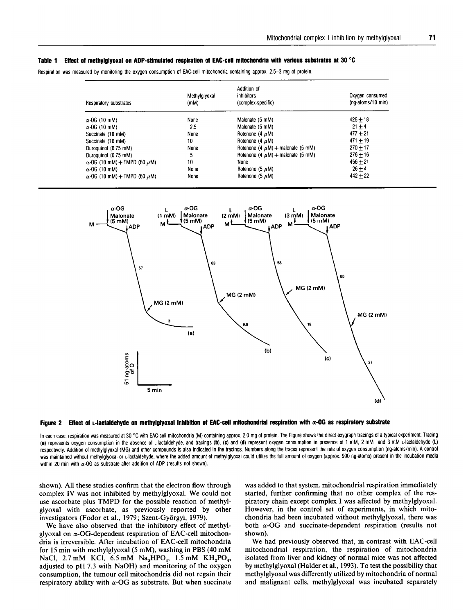# Table <sup>1</sup> Effect of methylglyoxal on ADP-stimulated respiration of EAC-cell mitochondria with various substrates at 30 °C

Respiration was measured by monitoring the oxygen consumption of EAC-cell mitochondria containing approx. 2.5-3 mg of protein.

| Respiratory substrates                   | Methylglyoxal<br>(mM) | Addition of<br>inhibitors<br>(complex-specific) | Oxygen consumed<br>(ng-atoms/10 min) |
|------------------------------------------|-----------------------|-------------------------------------------------|--------------------------------------|
| $\alpha$ -OG (10 mM)                     | None                  | Malonate (5 mM)                                 | $426 + 18$                           |
| $\alpha$ -OG (10 mM)                     | 2.5                   | Malonate (5 mM)                                 | $21 + 4$                             |
| Succinate (10 mM)                        | None                  | Rotenone (4 $\mu$ M)                            | $477 + 21$                           |
| Succinate (10 mM)                        | 10                    | Rotenone (4 $\mu$ M)                            | $471 + 19$                           |
| Duroquinol (0.75 mM)                     | None                  | Rotenone (4 $\mu$ M) + malonate (5 mM)          | $270 + 17$                           |
| Duroquinol (0.75 mM)                     | 5                     | Rotenone (4 $\mu$ M) + maionate (5 mM)          | $276 + 16$                           |
| $\alpha$ -OG (10 mM) + TMPD (60 $\mu$ M) | 10                    | None                                            | $456 + 21$                           |
| $\alpha$ -OG (10 mM)                     | None                  | Rotenone (5 $\mu$ M)                            | $26 + 4$                             |
| $\alpha$ -OG (10 mM) + TMPD (60 $\mu$ M) | None                  | Rotenone (5 $\mu$ M)                            | $442 + 22$                           |





In each case, respiration was measured at 30 °C with EAC-cell mitochondria (M) containing approx. 2.0 mg of protein. The Figure shows the direct oxygraph tracings of a typical experiment. Tracing (a) represents oxygen consumption in the absence of L-lactaldehyde, and tracings (b), (c) and (d) represent oxygen consumption in presence of <sup>1</sup> mM, <sup>2</sup> mM and <sup>3</sup> mM L-lactaldehyde (L) respectively. Addition of methylglyoxal (MG) and other compounds is also indicated in the tracings. Numbers along the traces represent the rate of oxygen consumption (ng-atoms/min). A control was maintained without methylglyoxal or L-lactaldehyde, where the added amount of methylglyoxal could utilize the full amount of oxygen (approx. 990 ng-atoms) present in the incubation media within 20 min with  $\alpha$ -OG as substrate after addition of ADP (results not shown).

shown). All these studies confirm that the electron flow through complex IV was not inhibited by methylglyoxal. We could not use ascorbate plus TMPD for the possible reaction of methylglyoxal with ascorbate, as previously reported by other investigators (Fodor et al., 1979; Szent-Gyorgyi, 1979).

We have also observed that the inhibitory effect of methylglyoxal on  $\alpha$ -OG-dependent respiration of EAC-cell mitochondria is irreversible. After incubation of EAC-cell mitochondria for <sup>15</sup> min with methylglyoxal (5 mM), washing in PBS (40 mM NaCl, 2.7 mM KCl, 6.5 mM Na<sub>2</sub>HPO<sub>4</sub>, 1.5 mM KH<sub>2</sub>PO<sub>4</sub>, adjusted to pH 7.3 with NaOH) and monitoring of the oxygen consumption, the tumour cell mitochondria did not regain their respiratory ability with  $\alpha$ -OG as substrate. But when succinate was added to that system, mitochondrial respiration immediately started, further confirming that no other complex of the respiratory chain except complex <sup>I</sup> was affected by methylglyoxal. However, in the control set of experiments, in which mitochondria had been incubated without methylglyoxal, there was both  $\alpha$ -OG and succinate-dependent respiration (results not shown).

We had previously observed that, in contrast with EAC-cell mitochondrial respiration, the respiration of mitochondria isolated from liver and kidney of normal mice was not affected by methylglyoxal (Halder et al., 1993). To test the possibility that methylglyoxal was differently utilized by mitochondria of normal and malignant cells, methylglyoxal was incubated separately